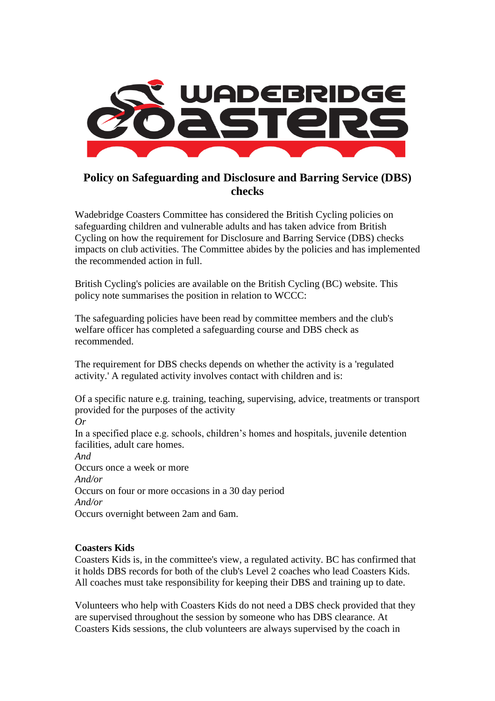

# **Policy on Safeguarding and Disclosure and Barring Service (DBS) checks**

Wadebridge Coasters Committee has considered the British Cycling policies on safeguarding children and vulnerable adults and has taken advice from British Cycling on how the requirement for Disclosure and Barring Service (DBS) checks impacts on club activities. The Committee abides by the policies and has implemented the recommended action in full.

British Cycling's policies are available on the British Cycling (BC) website. This policy note summarises the position in relation to WCCC:

The safeguarding policies have been read by committee members and the club's welfare officer has completed a safeguarding course and DBS check as recommended.

The requirement for DBS checks depends on whether the activity is a 'regulated activity.' A regulated activity involves contact with children and is:

Of a specific nature e.g. training, teaching, supervising, advice, treatments or transport provided for the purposes of the activity

*Or* In a specified place e.g. schools, children's homes and hospitals, juvenile detention facilities, adult care homes.

*And* Occurs once a week or more *And/or* Occurs on four or more occasions in a 30 day period *And/or* Occurs overnight between 2am and 6am.

# **Coasters Kids**

Coasters Kids is, in the committee's view, a regulated activity. BC has confirmed that it holds DBS records for both of the club's Level 2 coaches who lead Coasters Kids. All coaches must take responsibility for keeping their DBS and training up to date.

Volunteers who help with Coasters Kids do not need a DBS check provided that they are supervised throughout the session by someone who has DBS clearance. At Coasters Kids sessions, the club volunteers are always supervised by the coach in